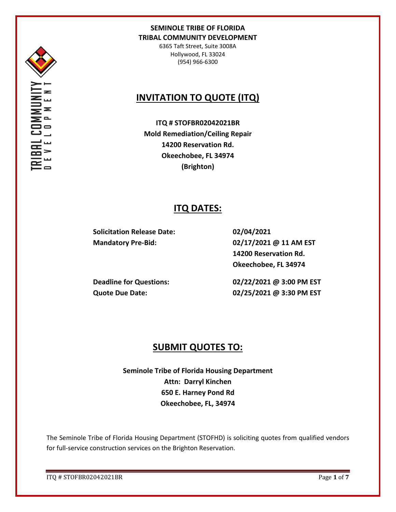

6365 Taft Street, Suite 3008A Hollywood, FL 33024 (954) 966-6300

# **INVITATION TO QUOTE (ITQ)**

**ITQ # STOFBR02042021BR Mold Remediation/Ceiling Repair 14200 Reservation Rd. Okeechobee, FL 34974 (Brighton)**

## **ITQ DATES:**

**Solicitation Release Date: 02/04/2021**

**Mandatory Pre-Bid: 02/17/2021 @ 11 AM EST 14200 Reservation Rd. Okeechobee, FL 34974**

**Deadline for Questions: 02/22/2021 @ 3:00 PM EST Quote Due Date: 02/25/2021 @ 3:30 PM EST**

## **SUBMIT QUOTES TO:**

**Seminole Tribe of Florida Housing Department Attn: Darryl Kinchen 650 E. Harney Pond Rd Okeechobee, FL, 34974**

The Seminole Tribe of Florida Housing Department (STOFHD) is soliciting quotes from qualified vendors for full-service construction services on the Brighton Reservation.

ITQ # STOFBR02042021BR Page **1** of **7**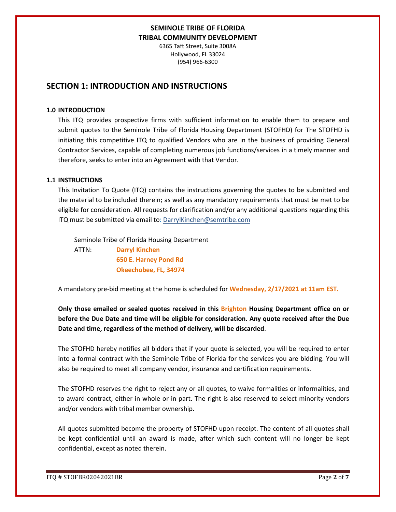6365 Taft Street, Suite 3008A Hollywood, FL 33024 (954) 966-6300

## **SECTION 1: INTRODUCTION AND INSTRUCTIONS**

### **1.0 INTRODUCTION**

This ITQ provides prospective firms with sufficient information to enable them to prepare and submit quotes to the Seminole Tribe of Florida Housing Department (STOFHD) for The STOFHD is initiating this competitive ITQ to qualified Vendors who are in the business of providing General Contractor Services, capable of completing numerous job functions/services in a timely manner and therefore, seeks to enter into an Agreement with that Vendor.

### **1.1 INSTRUCTIONS**

This Invitation To Quote (ITQ) contains the instructions governing the quotes to be submitted and the material to be included therein; as well as any mandatory requirements that must be met to be eligible for consideration. All requests for clarification and/or any additional questions regarding this ITQ must be submitted via email to: DarrylKinchen@semtribe.com

 Seminole Tribe of Florida Housing Department ATTN: **Darryl Kinchen**

 **650 E. Harney Pond Rd Okeechobee, FL, 34974**

A mandatory pre-bid meeting at the home is scheduled for **Wednesday, 2/17/2021 at 11am EST.**

**Only those emailed or sealed quotes received in this Brighton Housing Department office on or before the Due Date and time will be eligible for consideration. Any quote received after the Due Date and time, regardless of the method of delivery, will be discarded**.

The STOFHD hereby notifies all bidders that if your quote is selected, you will be required to enter into a formal contract with the Seminole Tribe of Florida for the services you are bidding. You will also be required to meet all company vendor, insurance and certification requirements.

The STOFHD reserves the right to reject any or all quotes, to waive formalities or informalities, and to award contract, either in whole or in part. The right is also reserved to select minority vendors and/or vendors with tribal member ownership.

All quotes submitted become the property of STOFHD upon receipt. The content of all quotes shall be kept confidential until an award is made, after which such content will no longer be kept confidential, except as noted therein.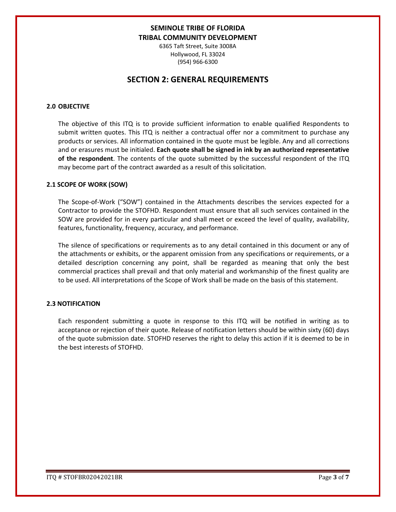6365 Taft Street, Suite 3008A Hollywood, FL 33024 (954) 966-6300

## **SECTION 2: GENERAL REQUIREMENTS**

### **2.0 OBJECTIVE**

The objective of this ITQ is to provide sufficient information to enable qualified Respondents to submit written quotes. This ITQ is neither a contractual offer nor a commitment to purchase any products or services. All information contained in the quote must be legible. Any and all corrections and or erasures must be initialed. **Each quote shall be signed in ink by an authorized representative of the respondent**. The contents of the quote submitted by the successful respondent of the ITQ may become part of the contract awarded as a result of this solicitation.

#### **2.1 SCOPE OF WORK (SOW)**

The Scope-of-Work ("SOW") contained in the Attachments describes the services expected for a Contractor to provide the STOFHD. Respondent must ensure that all such services contained in the SOW are provided for in every particular and shall meet or exceed the level of quality, availability, features, functionality, frequency, accuracy, and performance.

The silence of specifications or requirements as to any detail contained in this document or any of the attachments or exhibits, or the apparent omission from any specifications or requirements, or a detailed description concerning any point, shall be regarded as meaning that only the best commercial practices shall prevail and that only material and workmanship of the finest quality are to be used. All interpretations of the Scope of Work shall be made on the basis of this statement.

#### **2.3 NOTIFICATION**

Each respondent submitting a quote in response to this ITQ will be notified in writing as to acceptance or rejection of their quote. Release of notification letters should be within sixty (60) days of the quote submission date. STOFHD reserves the right to delay this action if it is deemed to be in the best interests of STOFHD.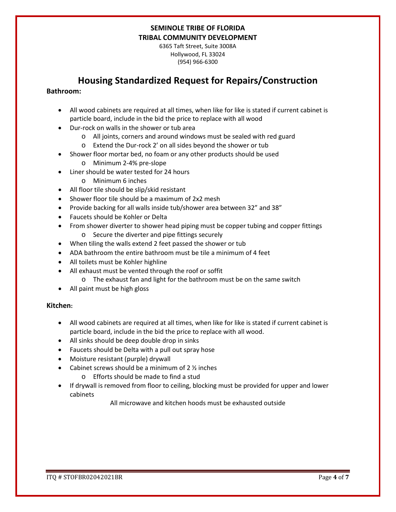6365 Taft Street, Suite 3008A Hollywood, FL 33024 (954) 966-6300

## **Housing Standardized Request for Repairs/Construction**

### **Bathroom:**

- All wood cabinets are required at all times, when like for like is stated if current cabinet is particle board, include in the bid the price to replace with all wood
- Dur-rock on walls in the shower or tub area
	- o All joints, corners and around windows must be sealed with red guard
	- o Extend the Dur-rock 2' on all sides beyond the shower or tub
- Shower floor mortar bed, no foam or any other products should be used
	- o Minimum 2-4% pre-slope
- Liner should be water tested for 24 hours
	- o Minimum 6 inches
- All floor tile should be slip/skid resistant
- Shower floor tile should be a maximum of 2x2 mesh
- Provide backing for all walls inside tub/shower area between 32" and 38"
- Faucets should be Kohler or Delta
- From shower diverter to shower head piping must be copper tubing and copper fittings o Secure the diverter and pipe fittings securely
- When tiling the walls extend 2 feet passed the shower or tub
- ADA bathroom the entire bathroom must be tile a minimum of 4 feet
- All toilets must be Kohler highline
- All exhaust must be vented through the roof or soffit
	- o The exhaust fan and light for the bathroom must be on the same switch
- All paint must be high gloss

### **Kitchen:**

- All wood cabinets are required at all times, when like for like is stated if current cabinet is particle board, include in the bid the price to replace with all wood.
- All sinks should be deep double drop in sinks
- Faucets should be Delta with a pull out spray hose
- Moisture resistant (purple) drywall
- Cabinet screws should be a minimum of  $2\frac{1}{2}$  inches
	- o Efforts should be made to find a stud
- If drywall is removed from floor to ceiling, blocking must be provided for upper and lower cabinets

All microwave and kitchen hoods must be exhausted outside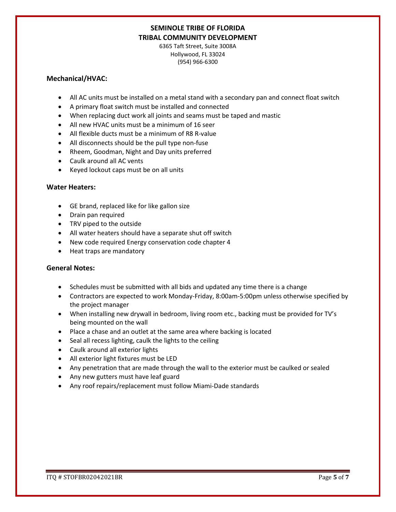6365 Taft Street, Suite 3008A Hollywood, FL 33024 (954) 966-6300

### **Mechanical/HVAC:**

- All AC units must be installed on a metal stand with a secondary pan and connect float switch
- A primary float switch must be installed and connected
- When replacing duct work all joints and seams must be taped and mastic
- All new HVAC units must be a minimum of 16 seer
- All flexible ducts must be a minimum of R8 R-value
- All disconnects should be the pull type non-fuse
- Rheem, Goodman, Night and Day units preferred
- Caulk around all AC vents
- Keyed lockout caps must be on all units

### **Water Heaters:**

- GE brand, replaced like for like gallon size
- Drain pan required
- TRV piped to the outside
- All water heaters should have a separate shut off switch
- New code required Energy conservation code chapter 4
- Heat traps are mandatory

### **General Notes:**

- Schedules must be submitted with all bids and updated any time there is a change
- Contractors are expected to work Monday-Friday, 8:00am-5:00pm unless otherwise specified by the project manager
- When installing new drywall in bedroom, living room etc., backing must be provided for TV's being mounted on the wall
- Place a chase and an outlet at the same area where backing is located
- Seal all recess lighting, caulk the lights to the ceiling
- Caulk around all exterior lights
- All exterior light fixtures must be LED
- Any penetration that are made through the wall to the exterior must be caulked or sealed
- Any new gutters must have leaf guard
- Any roof repairs/replacement must follow Miami-Dade standards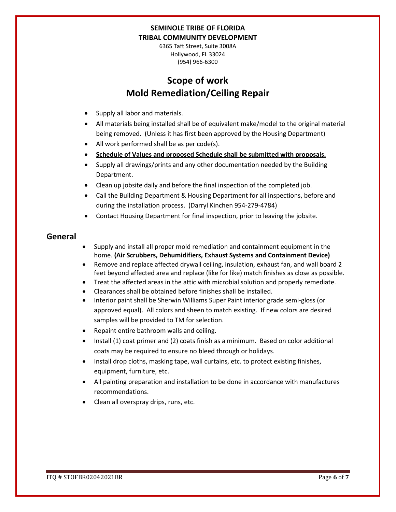6365 Taft Street, Suite 3008A Hollywood, FL 33024 (954) 966-6300

# **Scope of work Mold Remediation/Ceiling Repair**

- Supply all labor and materials.
- All materials being installed shall be of equivalent make/model to the original material being removed. (Unless it has first been approved by the Housing Department)
- All work performed shall be as per code(s).
- **Schedule of Values and proposed Schedule shall be submitted with proposals.**
- Supply all drawings/prints and any other documentation needed by the Building Department.
- Clean up jobsite daily and before the final inspection of the completed job.
- Call the Building Department & Housing Department for all inspections, before and during the installation process. (Darryl Kinchen 954-279-4784)
- Contact Housing Department for final inspection, prior to leaving the jobsite.

### **General**

- Supply and install all proper mold remediation and containment equipment in the home. **(Air Scrubbers, Dehumidifiers, Exhaust Systems and Containment Device)**
- Remove and replace affected drywall ceiling, insulation, exhaust fan, and wall board 2 feet beyond affected area and replace (like for like) match finishes as close as possible.
- Treat the affected areas in the attic with microbial solution and properly remediate.
- Clearances shall be obtained before finishes shall be installed.
- Interior paint shall be Sherwin Williams Super Paint interior grade semi-gloss (or approved equal). All colors and sheen to match existing. If new colors are desired samples will be provided to TM for selection.
- Repaint entire bathroom walls and ceiling.
- Install (1) coat primer and (2) coats finish as a minimum. Based on color additional coats may be required to ensure no bleed through or holidays.
- Install drop cloths, masking tape, wall curtains, etc. to protect existing finishes, equipment, furniture, etc.
- All painting preparation and installation to be done in accordance with manufactures recommendations.
- Clean all overspray drips, runs, etc.